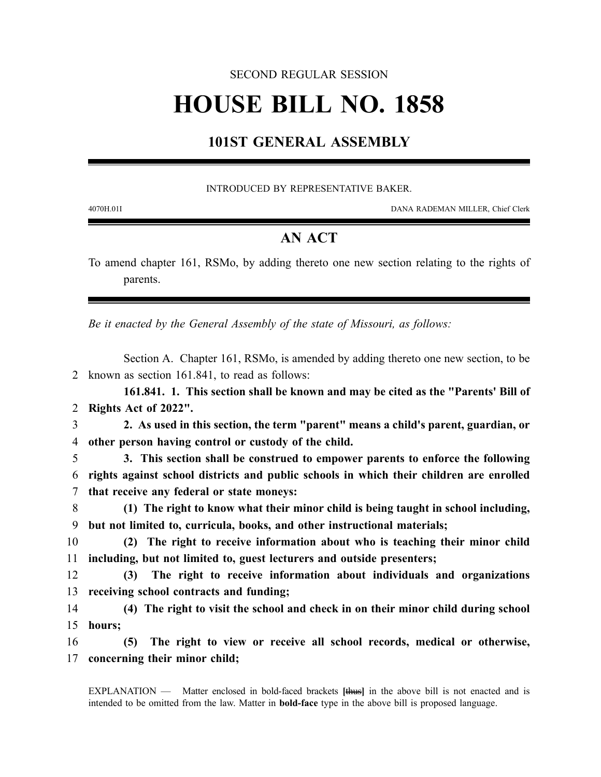### SECOND REGULAR SESSION

# **HOUSE BILL NO. 1858**

## **101ST GENERAL ASSEMBLY**

#### INTRODUCED BY REPRESENTATIVE BAKER.

4070H.01I DANA RADEMAN MILLER, Chief Clerk

## **AN ACT**

To amend chapter 161, RSMo, by adding thereto one new section relating to the rights of parents.

*Be it enacted by the General Assembly of the state of Missouri, as follows:*

Section A. Chapter 161, RSMo, is amended by adding thereto one new section, to be 2 known as section 161.841, to read as follows:

**161.841. 1. This section shall be known and may be cited as the "Parents' Bill of** 2 **Rights Act of 2022".**

3 **2. As used in this section, the term "parent" means a child's parent, guardian, or** 4 **other person having control or custody of the child.**

5 **3. This section shall be construed to empower parents to enforce the following** 6 **rights against school districts and public schools in which their children are enrolled** 7 **that receive any federal or state moneys:**

8 **(1) The right to know what their minor child is being taught in school including,** 9 **but not limited to, curricula, books, and other instructional materials;**

10 **(2) The right to receive information about who is teaching their minor child** 11 **including, but not limited to, guest lecturers and outside presenters;**

12 **(3) The right to receive information about individuals and organizations** 13 **receiving school contracts and funding;**

14 **(4) The right to visit the school and check in on their minor child during school** 15 **hours;**

16 **(5) The right to view or receive all school records, medical or otherwise,** 17 **concerning their minor child;**

EXPLANATION — Matter enclosed in bold-faced brackets **[**thus**]** in the above bill is not enacted and is intended to be omitted from the law. Matter in **bold-face** type in the above bill is proposed language.